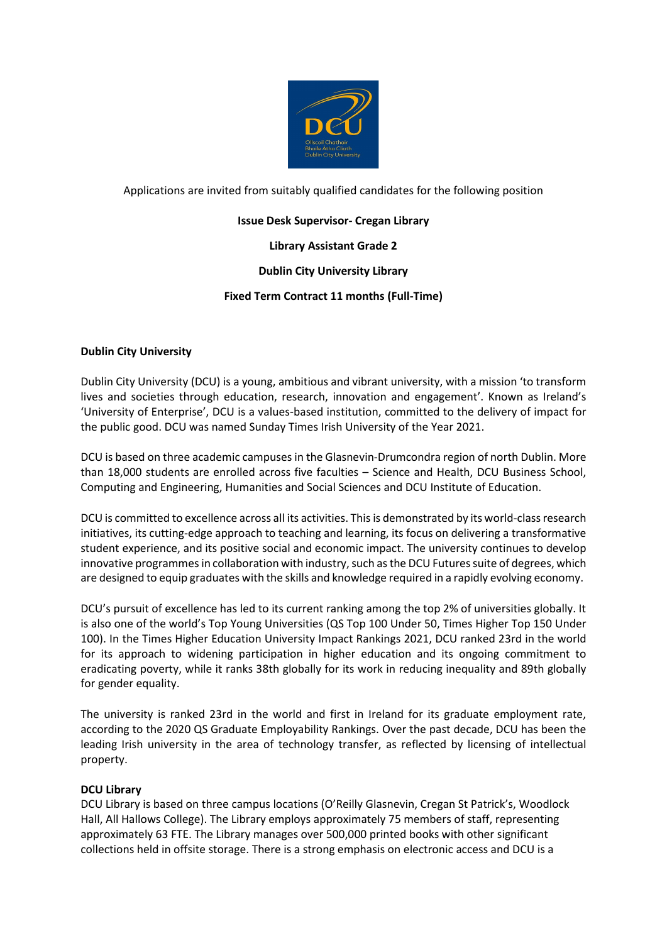

Applications are invited from suitably qualified candidates for the following position

# **Issue Desk Supervisor- Cregan Library**

**Library Assistant Grade 2** 

## **Dublin City University Library**

# **Fixed Term Contract 11 months (Full-Time)**

## **Dublin City University**

Dublin City University (DCU) is a young, ambitious and vibrant university, with a mission 'to transform lives and societies through education, research, innovation and engagement'. Known as Ireland's 'University of Enterprise', DCU is a values-based institution, committed to the delivery of impact for the public good. DCU was named Sunday Times Irish University of the Year 2021.

DCU is based on three academic campuses in the Glasnevin-Drumcondra region of north Dublin. More than 18,000 students are enrolled across five faculties – Science and Health, DCU Business School, Computing and Engineering, Humanities and Social Sciences and DCU Institute of Education.

DCU is committed to excellence across all its activities. This is demonstrated by its world-class research initiatives, its cutting-edge approach to teaching and learning, its focus on delivering a transformative student experience, and its positive social and economic impact. The university continues to develop innovative programmes in collaboration with industry, such as the DCU Futures suite of degrees, which are designed to equip graduates with the skills and knowledge required in a rapidly evolving economy.

DCU's pursuit of excellence has led to its current ranking among the top 2% of universities globally. It is also one of the world's Top Young Universities (QS Top 100 Under 50, Times Higher Top 150 Under 100). In the Times Higher Education University Impact Rankings 2021, DCU ranked 23rd in the world for its approach to widening participation in higher education and its ongoing commitment to eradicating poverty, while it ranks 38th globally for its work in reducing inequality and 89th globally for gender equality.

The university is ranked 23rd in the world and first in Ireland for its graduate employment rate, according to the 2020 QS Graduate Employability Rankings. Over the past decade, DCU has been the leading Irish university in the area of technology transfer, as reflected by licensing of intellectual property.

## **DCU Library**

DCU Library is based on three campus locations (O'Reilly Glasnevin, Cregan St Patrick's, Woodlock Hall, All Hallows College). The Library employs approximately 75 members of staff, representing approximately 63 FTE. The Library manages over 500,000 printed books with other significant collections held in offsite storage. There is a strong emphasis on electronic access and DCU is a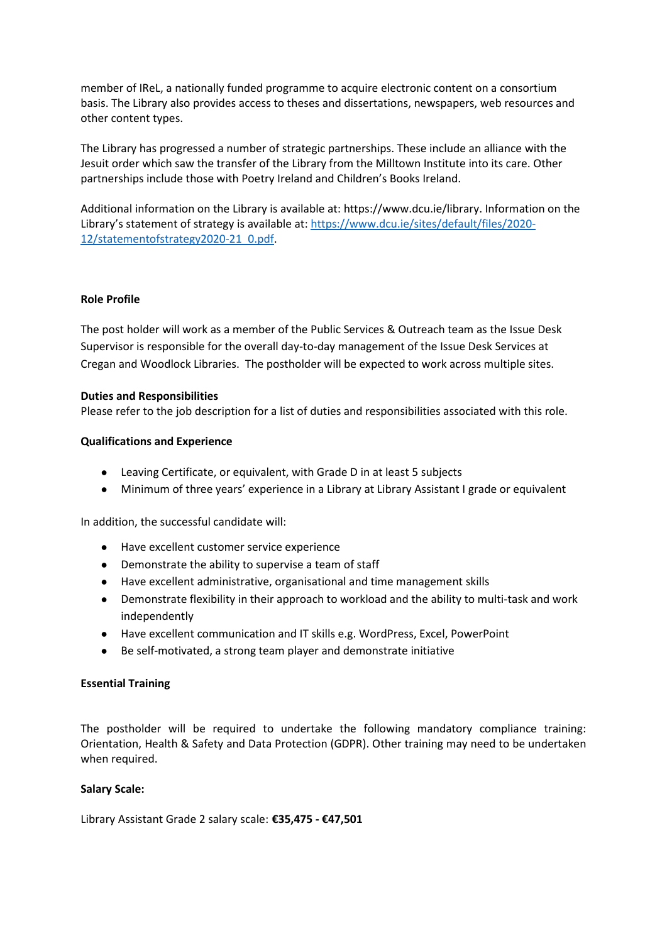member of IReL, a nationally funded programme to acquire electronic content on a consortium basis. The Library also provides access to theses and dissertations, newspapers, web resources and other content types.

The Library has progressed a number of strategic partnerships. These include an alliance with the Jesuit order which saw the transfer of the Library from the Milltown Institute into its care. Other partnerships include those with Poetry Ireland and Children's Books Ireland.

Additional information on the Library is available at: https://www.dcu.ie/library. Information on the Library's statement of strategy is available at: [https://www.dcu.ie/sites/default/files/2020-](https://www.dcu.ie/sites/default/files/2020-12/statementofstrategy2020-21_0.pdf) [12/statementofstrategy2020-21\\_0.pdf.](https://www.dcu.ie/sites/default/files/2020-12/statementofstrategy2020-21_0.pdf)

#### **Role Profile**

The post holder will work as a member of the Public Services & Outreach team as the Issue Desk Supervisor is responsible for the overall day-to-day management of the Issue Desk Services at Cregan and Woodlock Libraries. The postholder will be expected to work across multiple sites.

#### **Duties and Responsibilities**

Please refer to the job description for a list of duties and responsibilities associated with this role.

#### **Qualifications and Experience**

- Leaving Certificate, or equivalent, with Grade D in at least 5 subjects
- Minimum of three years' experience in a Library at Library Assistant I grade or equivalent

In addition, the successful candidate will:

- Have excellent customer service experience
- Demonstrate the ability to supervise a team of staff
- Have excellent administrative, organisational and time management skills
- Demonstrate flexibility in their approach to workload and the ability to multi-task and work independently
- Have excellent communication and IT skills e.g. WordPress, Excel, PowerPoint
- Be self-motivated, a strong team player and demonstrate initiative

#### **Essential Training**

The postholder will be required to undertake the following mandatory compliance training: Orientation, Health & Safety and Data Protection (GDPR). Other training may need to be undertaken when required.

#### **Salary Scale:**

Library Assistant Grade 2 salary scale: **€35,475 - €47,501**